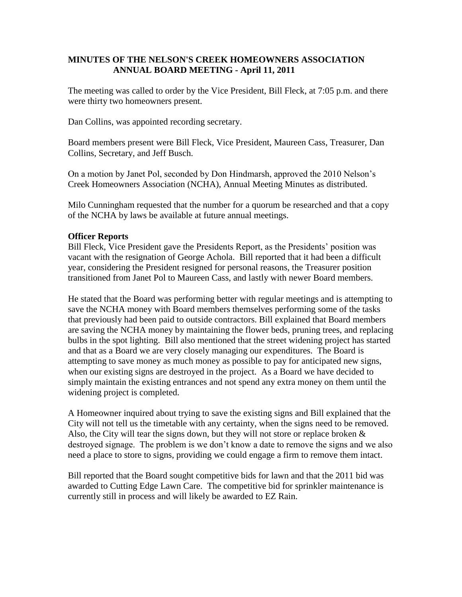### **MINUTES OF THE NELSON'S CREEK HOMEOWNERS ASSOCIATION ANNUAL BOARD MEETING - April 11, 2011**

The meeting was called to order by the Vice President, Bill Fleck, at 7:05 p.m. and there were thirty two homeowners present.

Dan Collins, was appointed recording secretary.

Board members present were Bill Fleck, Vice President, Maureen Cass, Treasurer, Dan Collins, Secretary, and Jeff Busch.

On a motion by Janet Pol, seconded by Don Hindmarsh, approved the 2010 Nelson's Creek Homeowners Association (NCHA), Annual Meeting Minutes as distributed.

Milo Cunningham requested that the number for a quorum be researched and that a copy of the NCHA by laws be available at future annual meetings.

### **Officer Reports**

Bill Fleck, Vice President gave the Presidents Report, as the Presidents' position was vacant with the resignation of George Achola. Bill reported that it had been a difficult year, considering the President resigned for personal reasons, the Treasurer position transitioned from Janet Pol to Maureen Cass, and lastly with newer Board members.

He stated that the Board was performing better with regular meetings and is attempting to save the NCHA money with Board members themselves performing some of the tasks that previously had been paid to outside contractors. Bill explained that Board members are saving the NCHA money by maintaining the flower beds, pruning trees, and replacing bulbs in the spot lighting. Bill also mentioned that the street widening project has started and that as a Board we are very closely managing our expenditures. The Board is attempting to save money as much money as possible to pay for anticipated new signs, when our existing signs are destroyed in the project. As a Board we have decided to simply maintain the existing entrances and not spend any extra money on them until the widening project is completed.

A Homeowner inquired about trying to save the existing signs and Bill explained that the City will not tell us the timetable with any certainty, when the signs need to be removed. Also, the City will tear the signs down, but they will not store or replace broken  $\&$ destroyed signage. The problem is we don't know a date to remove the signs and we also need a place to store to signs, providing we could engage a firm to remove them intact.

Bill reported that the Board sought competitive bids for lawn and that the 2011 bid was awarded to Cutting Edge Lawn Care. The competitive bid for sprinkler maintenance is currently still in process and will likely be awarded to EZ Rain.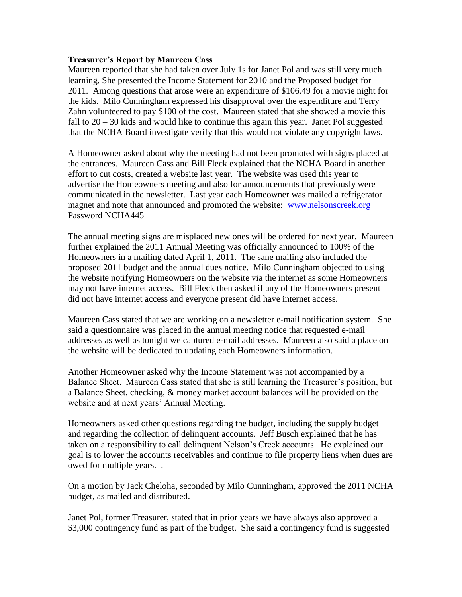#### **Treasurer's Report by Maureen Cass**

Maureen reported that she had taken over July 1s for Janet Pol and was still very much learning. She presented the Income Statement for 2010 and the Proposed budget for 2011. Among questions that arose were an expenditure of \$106.49 for a movie night for the kids. Milo Cunningham expressed his disapproval over the expenditure and Terry Zahn volunteered to pay \$100 of the cost. Maureen stated that she showed a movie this fall to  $20 - 30$  kids and would like to continue this again this year. Janet Pol suggested that the NCHA Board investigate verify that this would not violate any copyright laws.

A Homeowner asked about why the meeting had not been promoted with signs placed at the entrances. Maureen Cass and Bill Fleck explained that the NCHA Board in another effort to cut costs, created a website last year. The website was used this year to advertise the Homeowners meeting and also for announcements that previously were communicated in the newsletter. Last year each Homeowner was mailed a refrigerator magnet and note that announced and promoted the website: [www.nelsonscreek.org](http://www.nelsonscreek.org/) Password NCHA445

The annual meeting signs are misplaced new ones will be ordered for next year. Maureen further explained the 2011 Annual Meeting was officially announced to 100% of the Homeowners in a mailing dated April 1, 2011. The sane mailing also included the proposed 2011 budget and the annual dues notice. Milo Cunningham objected to using the website notifying Homeowners on the website via the internet as some Homeowners may not have internet access. Bill Fleck then asked if any of the Homeowners present did not have internet access and everyone present did have internet access.

Maureen Cass stated that we are working on a newsletter e-mail notification system. She said a questionnaire was placed in the annual meeting notice that requested e-mail addresses as well as tonight we captured e-mail addresses. Maureen also said a place on the website will be dedicated to updating each Homeowners information.

Another Homeowner asked why the Income Statement was not accompanied by a Balance Sheet. Maureen Cass stated that she is still learning the Treasurer's position, but a Balance Sheet, checking, & money market account balances will be provided on the website and at next years' Annual Meeting.

Homeowners asked other questions regarding the budget, including the supply budget and regarding the collection of delinquent accounts. Jeff Busch explained that he has taken on a responsibility to call delinquent Nelson's Creek accounts. He explained our goal is to lower the accounts receivables and continue to file property liens when dues are owed for multiple years. .

On a motion by Jack Cheloha, seconded by Milo Cunningham, approved the 2011 NCHA budget, as mailed and distributed.

Janet Pol, former Treasurer, stated that in prior years we have always also approved a \$3,000 contingency fund as part of the budget. She said a contingency fund is suggested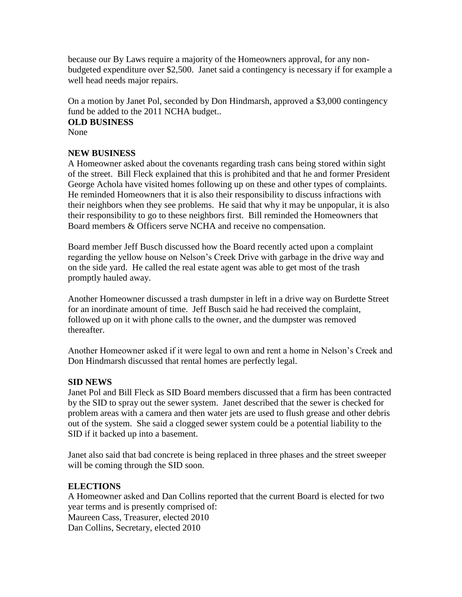because our By Laws require a majority of the Homeowners approval, for any nonbudgeted expenditure over \$2,500. Janet said a contingency is necessary if for example a well head needs major repairs.

On a motion by Janet Pol, seconded by Don Hindmarsh, approved a \$3,000 contingency fund be added to the 2011 NCHA budget..

#### **OLD BUSINESS**

None

# **NEW BUSINESS**

A Homeowner asked about the covenants regarding trash cans being stored within sight of the street. Bill Fleck explained that this is prohibited and that he and former President George Achola have visited homes following up on these and other types of complaints. He reminded Homeowners that it is also their responsibility to discuss infractions with their neighbors when they see problems. He said that why it may be unpopular, it is also their responsibility to go to these neighbors first. Bill reminded the Homeowners that Board members & Officers serve NCHA and receive no compensation.

Board member Jeff Busch discussed how the Board recently acted upon a complaint regarding the yellow house on Nelson's Creek Drive with garbage in the drive way and on the side yard. He called the real estate agent was able to get most of the trash promptly hauled away.

Another Homeowner discussed a trash dumpster in left in a drive way on Burdette Street for an inordinate amount of time. Jeff Busch said he had received the complaint, followed up on it with phone calls to the owner, and the dumpster was removed thereafter.

Another Homeowner asked if it were legal to own and rent a home in Nelson's Creek and Don Hindmarsh discussed that rental homes are perfectly legal.

# **SID NEWS**

Janet Pol and Bill Fleck as SID Board members discussed that a firm has been contracted by the SID to spray out the sewer system. Janet described that the sewer is checked for problem areas with a camera and then water jets are used to flush grease and other debris out of the system. She said a clogged sewer system could be a potential liability to the SID if it backed up into a basement.

Janet also said that bad concrete is being replaced in three phases and the street sweeper will be coming through the SID soon.

# **ELECTIONS**

A Homeowner asked and Dan Collins reported that the current Board is elected for two year terms and is presently comprised of: Maureen Cass, Treasurer, elected 2010 Dan Collins, Secretary, elected 2010